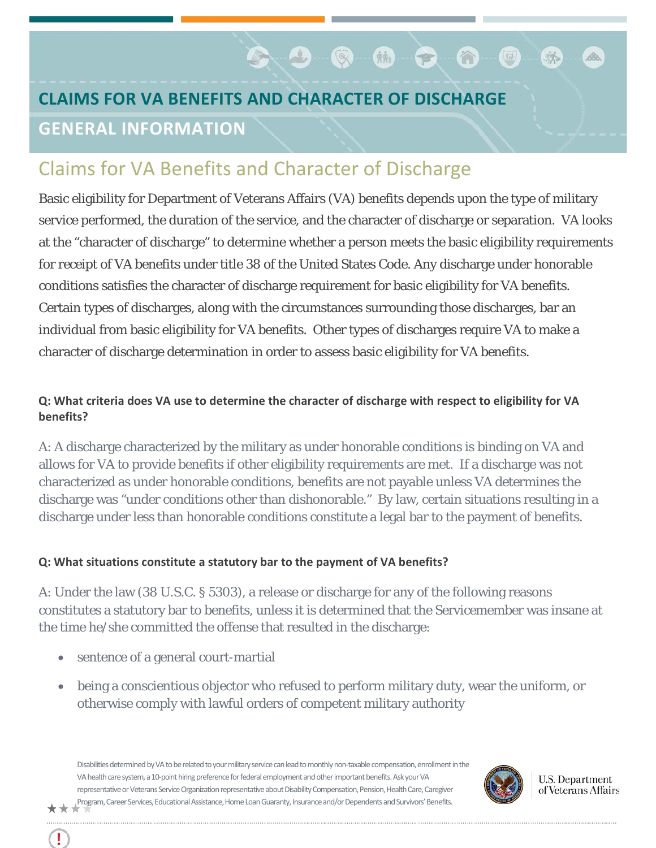# **CLAIMS FOR VA BENEFITS AND CHARACTER OF DISCHARGE GENERAL INFORMATION**

# Claims for VA Benefits and Character of Discharge

Basic eligibility for Department of Veterans Affairs (VA) benefits depends upon the type of military service performed, the duration of the service, and the character of discharge or separation. VA looks at the "character of discharge" to determine whether a person meets the basic eligibility requirements for receipt of VA benefits under title 38 of the United States Code. Any discharge under honorable conditions satisfies the character of discharge requirement for basic eligibility for VA benefits. Certain types of discharges, along with the circumstances surrounding those discharges, bar an individual from basic eligibility for VA benefits. Other types of discharges require VA to make a character of discharge determination in order to assess basic eligibility for VA benefits.

 $\bullet$  .  $\bullet$  .  $\bullet$  .  $\bullet$  .  $\bullet$  .  $\bullet$  .  $\bullet$  .  $\bullet$  .  $\bullet$  .  $\bullet$  .  $\bullet$  .  $\bullet$  .  $\bullet$  .  $\bullet$  .  $\bullet$  .  $\bullet$  .  $\bullet$  .  $\bullet$  .  $\bullet$  .  $\bullet$  .  $\bullet$  .  $\bullet$  .  $\bullet$  .  $\bullet$  .  $\bullet$  .  $\bullet$  .  $\bullet$  .  $\bullet$  .  $\bullet$  .  $\bullet$  .  $\bullet$  .  $\bullet$ 

∩ ©

# **Q: What criteria does VA use to determine the character of discharge with respect to eligibility for VA benefits?**

A: A discharge characterized by the military as under honorable conditions is binding on VA and allows for VA to provide benefits if other eligibility requirements are met. If a discharge was not characterized as under honorable conditions, benefits are not payable unless VA determines the discharge was "under conditions other than dishonorable." By law, certain situations resulting in a discharge under less than honorable conditions constitute a legal bar to the payment of benefits.

#### **Q: What situations constitute a statutory bar to the payment of VA benefits?**

A: Under the law (38 U.S.C. § 5303), a release or discharge for any of the following reasons constitutes a statutory bar to benefits, unless it is determined that the Servicemember was insane at the time he/she committed the offense that resulted in the discharge:

- sentence of a general court-martial
- being a conscientious objector who refused to perform military duty, wear the uniform, or otherwise comply with lawful orders of competent military authority

Disabilities determined by VA to be related to your military service can lead to monthly non-taxable compensation, enrollment in the VA health care system, a 10-point hiring preference for federal employment and other important benefits. Ask your VA representative or Veterans Service Organization representative about Disability Compensation, Pension, Health Care, Caregiver Program, Career Services, Educational Assistance, Home Loan Guaranty, Insurance and/or Dependents and Survivors' Benefits.



**U.S. Department** of Veterans Affairs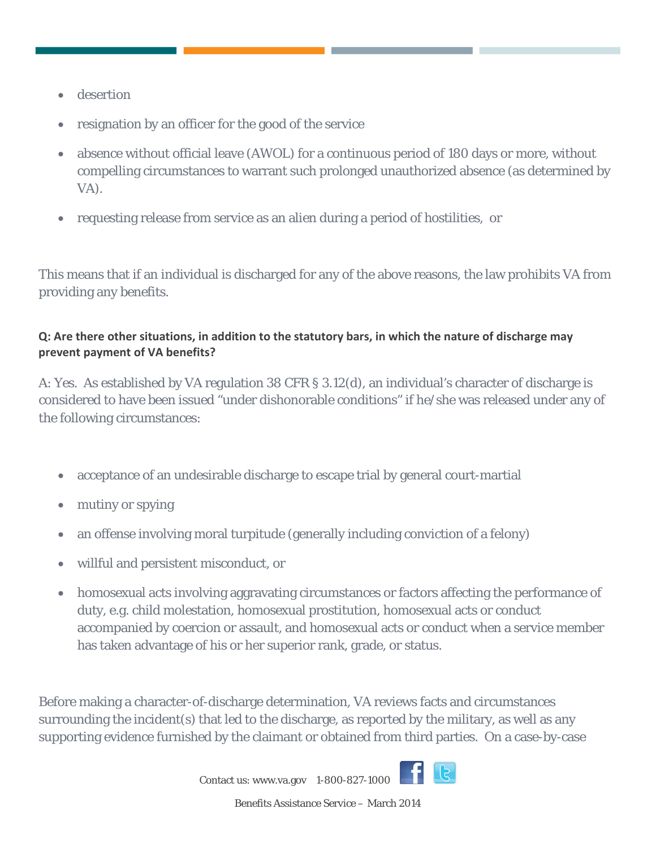- **desertion**
- resignation by an officer for the good of the service
- absence without official leave (AWOL) for a continuous period of 180 days or more, without compelling circumstances to warrant such prolonged unauthorized absence (as determined by VA).
- requesting release from service as an alien during a period of hostilities, or

This means that if an individual is discharged for any of the above reasons, the law prohibits VA from providing any benefits.

# **Q: Are there other situations, in addition to the statutory bars, in which the nature of discharge may prevent payment of VA benefits?**

A: Yes. As established by VA regulation 38 CFR § 3.12(d), an individual's character of discharge is considered to have been issued "under dishonorable conditions" if he/she was released under any of the following circumstances:

- acceptance of an undesirable discharge to escape trial by general court-martial
- mutiny or spying
- an offense involving moral turpitude (generally including conviction of a felony)
- willful and persistent misconduct, or
- homosexual acts involving aggravating circumstances or factors affecting the performance of duty, e.g. child molestation, homosexual prostitution, homosexual acts or conduct accompanied by coercion or assault, and homosexual acts or conduct when a service member has taken advantage of his or her superior rank, grade, or status.

Before making a character-of-discharge determination, VA reviews facts and circumstances surrounding the incident(s) that led to the discharge, as reported by the military, as well as any supporting evidence furnished by the claimant or obtained from third parties. On a case-by-case



Contact us[: www.va.gov](http://www.va.gov/) 1-800-827-1000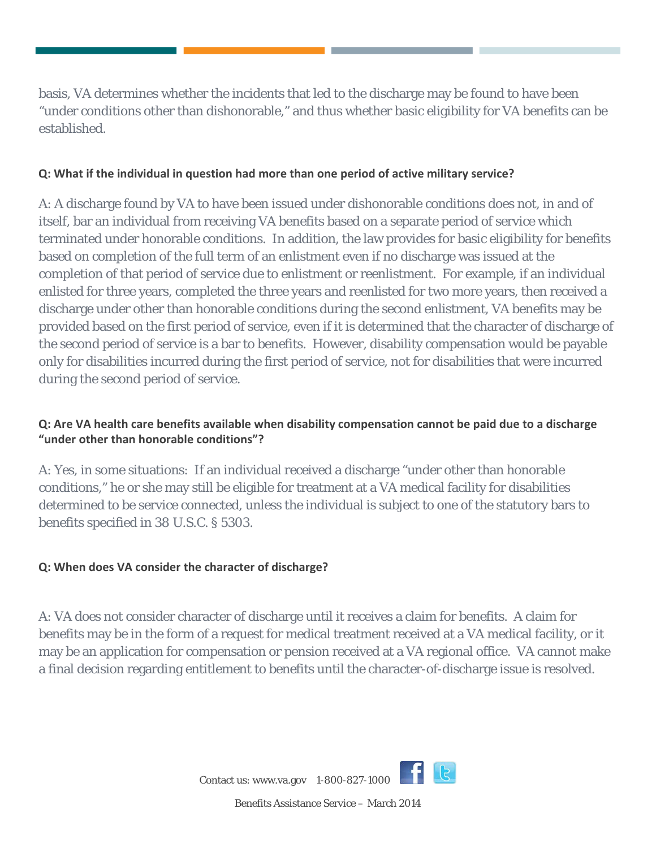basis, VA determines whether the incidents that led to the discharge may be found to have been "under conditions other than dishonorable," and thus whether basic eligibility for VA benefits can be established.

#### **Q: What if the individual in question had more than one period of active military service?**

A: A discharge found by VA to have been issued under dishonorable conditions does not, in and of itself, bar an individual from receiving VA benefits based on a separate period of service which terminated under honorable conditions. In addition, the law provides for basic eligibility for benefits based on completion of the full term of an enlistment even if no discharge was issued at the completion of that period of service due to enlistment or reenlistment. For example, if an individual enlisted for three years, completed the three years and reenlisted for two more years, then received a discharge under other than honorable conditions during the second enlistment, VA benefits may be provided based on the first period of service, even if it is determined that the character of discharge of the second period of service is a bar to benefits. However, disability compensation would be payable only for disabilities incurred during the first period of service, not for disabilities that were incurred during the second period of service.

## **Q: Are VA health care benefits available when disability compensation cannot be paid due to a discharge "under other than honorable conditions"?**

A: Yes, in some situations: If an individual received a discharge "under other than honorable conditions," he or she may still be eligible for treatment at a VA medical facility for disabilities determined to be service connected, unless the individual is subject to one of the statutory bars to benefits specified in 38 U.S.C. § 5303.

#### **Q: When does VA consider the character of discharge?**

A: VA does not consider character of discharge until it receives a claim for benefits. A claim for benefits may be in the form of a request for medical treatment received at a VA medical facility, or it may be an application for compensation or pension received at a VA regional office. VA cannot make a final decision regarding entitlement to benefits until the character-of-discharge issue is resolved.



Benefits Assistance Service – March 2014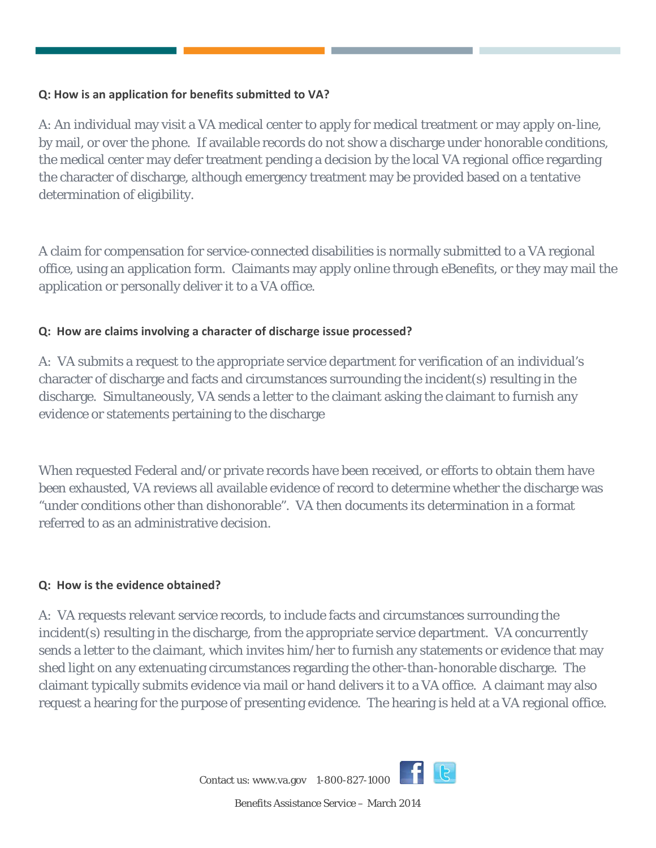#### **Q: How is an application for benefits submitted to VA?**

A: An individual may visit a VA medical center to apply for medical treatment or may apply on-line, by mail, or over the phone. If available records do not show a discharge under honorable conditions, the medical center may defer treatment pending a decision by the local VA regional office regarding the character of discharge, although emergency treatment may be provided based on a tentative determination of eligibility.

A claim for compensation for service-connected disabilities is normally submitted to a VA regional office, using an application form. Claimants may apply online through eBenefits, or they may mail the application or personally deliver it to a VA office.

#### **Q: How are claims involving a character of discharge issue processed?**

A: VA submits a request to the appropriate service department for verification of an individual's character of discharge and facts and circumstances surrounding the incident(s) resulting in the discharge. Simultaneously, VA sends a letter to the claimant asking the claimant to furnish any evidence or statements pertaining to the discharge

When requested Federal and/or private records have been received, or efforts to obtain them have been exhausted, VA reviews all available evidence of record to determine whether the discharge was "under conditions other than dishonorable". VA then documents its determination in a format referred to as an administrative decision.

#### **Q: How is the evidence obtained?**

A: VA requests relevant service records, to include facts and circumstances surrounding the incident(s) resulting in the discharge, from the appropriate service department. VA concurrently sends a letter to the claimant, which invites him/her to furnish any statements or evidence that may shed light on any extenuating circumstances regarding the other-than-honorable discharge. The claimant typically submits evidence via mail or hand delivers it to a VA office. A claimant may also request a hearing for the purpose of presenting evidence. The hearing is held at a VA regional office.

Contact us[: www.va.gov](http://www.va.gov/) 1-800-827-1000